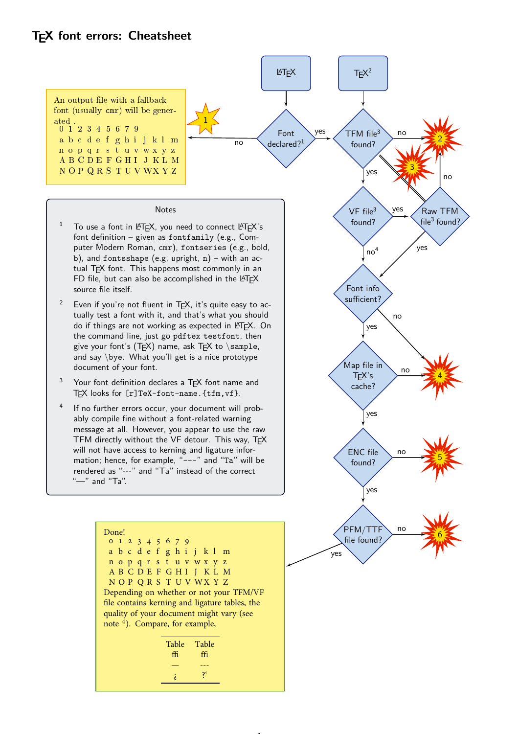## **TEX font errors: Cheatsheet**

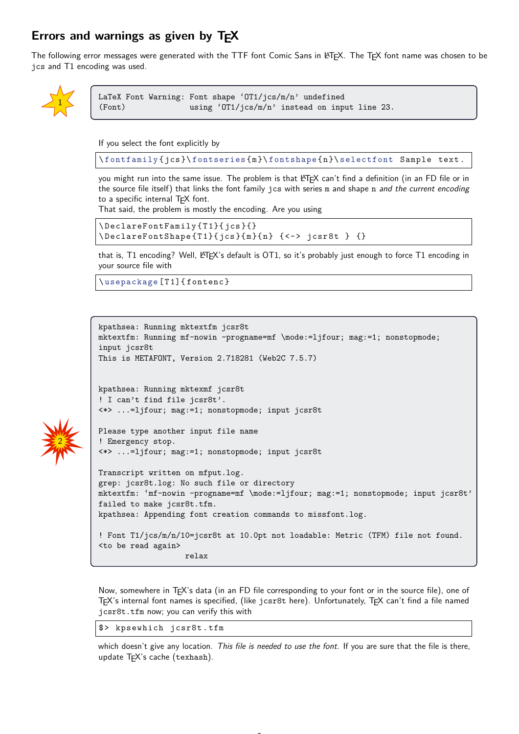## **Errors and warnings as given by TEX**

The following error messages were generated with the TTF font Comic Sans in LATEX. The TEX font name was chosen to be jcs and T1 encoding was used.



2

```
LaTeX Font Warning: Font shape 'OT1/jcs/m/n' undefined
(Font) using 'OT1/jcs/m/n' instead on input line 23.
```
If you select the font explicitly by

\ fontfamily { jcs }\ fontseries { m }\ fontshape { n }\ selectfont Sample text .

you might run into the same issue. The problem is that LATEX can't find a definition (in an FD file or in the source file itself) that links the font family jcs with series m and shape n and the current encoding to a specific internal TFX font.

That said, the problem is mostly the encoding. Are you using

```
\ DeclareFontFamily { T 1}{ jcs }{}
\left\{ \text{DeclarefontShape{T1}}{ is }{ m } { < -> jcsr8t } {}
```
that is, T1 encoding? Well, LATEX's default is OT1, so it's probably just enough to force T1 encoding in your source file with

\ usepackage [ T 1]{ fontenc }

```
kpathsea: Running mktextfm jcsr8t
mktextfm: Running mf-nowin -progname=mf \mode:=ljfour; mag:=1; nonstopmode;
input jcsr8t
This is METAFONT, Version 2.718281 (Web2C 7.5.7)
kpathsea: Running mktexmf jcsr8t
! I can't find file jcsr8t'.
<*> ...=ljfour; mag:=1; nonstopmode; input jcsr8t
Please type another input file name
! Emergency stop.
<*> ...=ljfour; mag:=1; nonstopmode; input jcsr8t
Transcript written on mfput.log.
grep: jcsr8t.log: No such file or directory
mktextfm: 'mf-nowin -progname=mf \mode:=ljfour; mag:=1; nonstopmode; input jcsr8t'
failed to make jcsr8t.tfm.
kpathsea: Appending font creation commands to missfont.log.
! Font T1/jcs/m/n/10=jcsr8t at 10.0pt not loadable: Metric (TFM) file not found.
<to be read again>
                   relax
```
Now, somewhere in TEX's data (in an FD file corresponding to your font or in the source file), one of TEX's internal font names is specified, (like jcsr8t here). Unfortunately, TEX can't find a file named jcsr8t.tfm now; you can verify this with

\$> kpsewhich jcsr8t.tfm

which doesn't give any location. This file is needed to use the font. If you are sure that the file is there, update T<sub>F</sub>X's cache (texhash).

 $\sim$